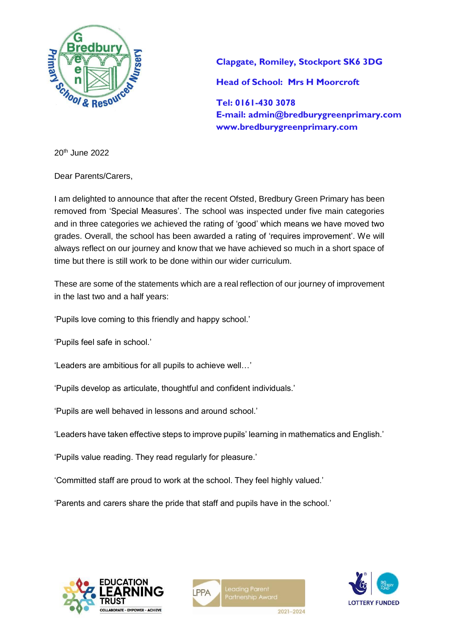

**Clapgate, Romiley, Stockport SK6 3DG Head of School: Mrs H Moorcroft** 

**Tel: 0161-430 3078 E-mail: admin@bredburygreenprimary.com www.bredburygreenprimary.com**

20th June 2022

Dear Parents/Carers,

I am delighted to announce that after the recent Ofsted, Bredbury Green Primary has been removed from 'Special Measures'. The school was inspected under five main categories and in three categories we achieved the rating of 'good' which means we have moved two grades. Overall, the school has been awarded a rating of 'requires improvement'. We will always reflect on our journey and know that we have achieved so much in a short space of time but there is still work to be done within our wider curriculum.

These are some of the statements which are a real reflection of our journey of improvement in the last two and a half years:

'Pupils love coming to this friendly and happy school.'

'Pupils feel safe in school.'

'Leaders are ambitious for all pupils to achieve well…'

'Pupils develop as articulate, thoughtful and confident individuals.'

'Pupils are well behaved in lessons and around school.'

'Leaders have taken effective steps to improve pupils' learning in mathematics and English.'

'Pupils value reading. They read regularly for pleasure.'

'Committed staff are proud to work at the school. They feel highly valued.'

'Parents and carers share the pride that staff and pupils have in the school.'